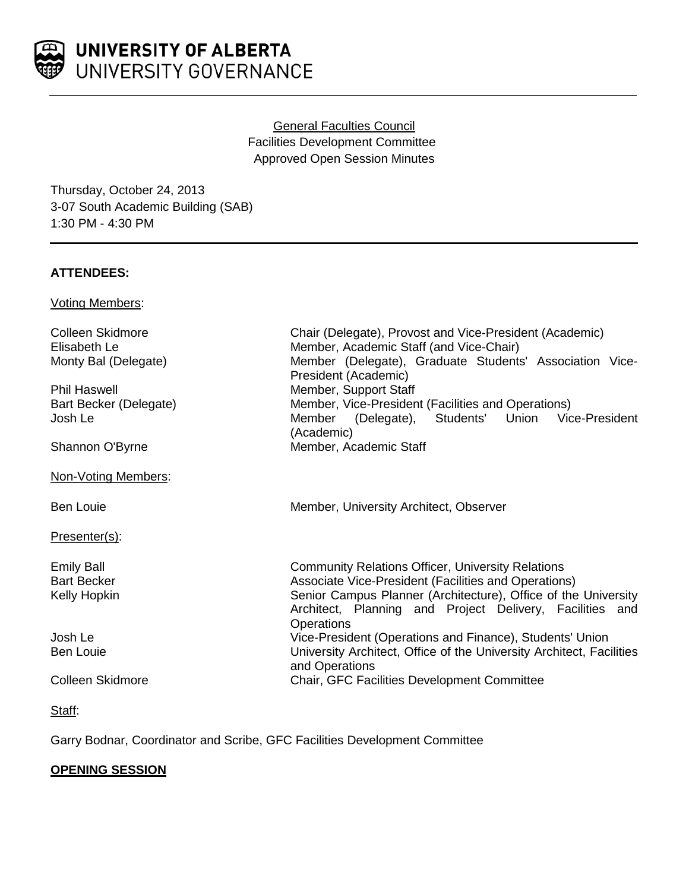General Faculties Council Facilities Development Committee Approved Open Session Minutes

Thursday, October 24, 2013 3-07 South Academic Building (SAB) 1:30 PM - 4:30 PM

## **ATTENDEES:**

Voting Members:

| Colleen Skidmore        | Chair (Delegate), Provost and Vice-President (Academic)                                                                                         |
|-------------------------|-------------------------------------------------------------------------------------------------------------------------------------------------|
| Elisabeth Le            | Member, Academic Staff (and Vice-Chair)                                                                                                         |
| Monty Bal (Delegate)    | Member (Delegate), Graduate Students' Association Vice-<br>President (Academic)                                                                 |
| <b>Phil Haswell</b>     | Member, Support Staff                                                                                                                           |
| Bart Becker (Delegate)  | Member, Vice-President (Facilities and Operations)                                                                                              |
| Josh Le                 | Member (Delegate), Students' Union<br>Vice-President<br>(Academic)                                                                              |
| Shannon O'Byrne         | Member, Academic Staff                                                                                                                          |
| Non-Voting Members:     |                                                                                                                                                 |
| <b>Ben Louie</b>        | Member, University Architect, Observer                                                                                                          |
| Presenter(s):           |                                                                                                                                                 |
| <b>Emily Ball</b>       | <b>Community Relations Officer, University Relations</b>                                                                                        |
| <b>Bart Becker</b>      | Associate Vice-President (Facilities and Operations)                                                                                            |
| Kelly Hopkin            | Senior Campus Planner (Architecture), Office of the University<br>Architect, Planning and Project Delivery, Facilities and<br><b>Operations</b> |
| Josh Le                 | Vice-President (Operations and Finance), Students' Union                                                                                        |
| <b>Ben Louie</b>        | University Architect, Office of the University Architect, Facilities<br>and Operations                                                          |
| <b>Colleen Skidmore</b> | <b>Chair, GFC Facilities Development Committee</b>                                                                                              |
|                         |                                                                                                                                                 |

Staff:

Garry Bodnar, Coordinator and Scribe, GFC Facilities Development Committee

# **OPENING SESSION**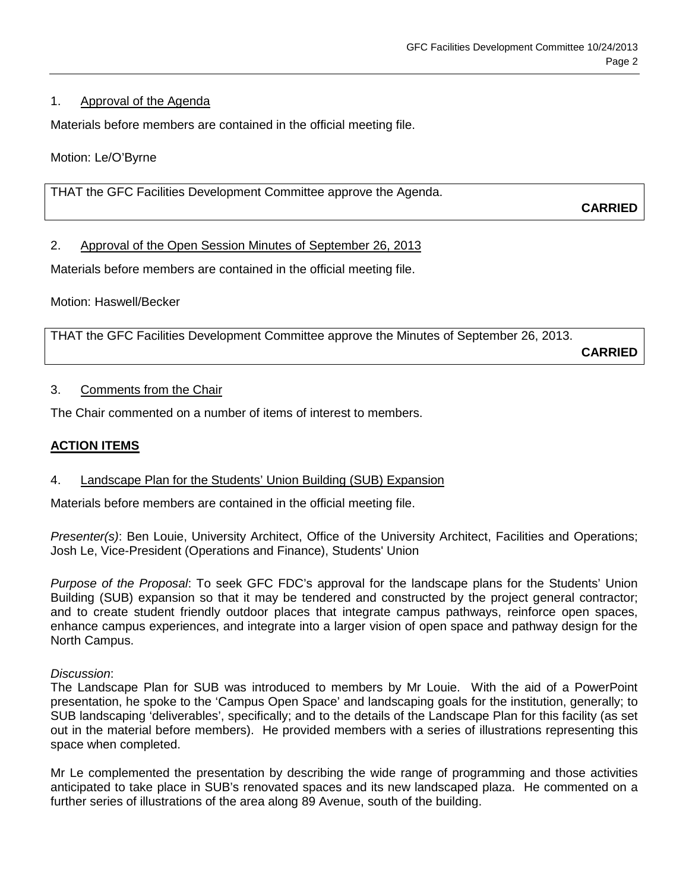## 1. Approval of the Agenda

Materials before members are contained in the official meeting file.

Motion: Le/O'Byrne

THAT the GFC Facilities Development Committee approve the Agenda.

**CARRIED**

## 2. Approval of the Open Session Minutes of September 26, 2013

Materials before members are contained in the official meeting file.

Motion: Haswell/Becker

THAT the GFC Facilities Development Committee approve the Minutes of September 26, 2013.

**CARRIED**

## 3. Comments from the Chair

The Chair commented on a number of items of interest to members.

## **ACTION ITEMS**

### 4. Landscape Plan for the Students' Union Building (SUB) Expansion

Materials before members are contained in the official meeting file.

*Presenter(s)*: Ben Louie, University Architect, Office of the University Architect, Facilities and Operations; Josh Le, Vice-President (Operations and Finance), Students' Union

*Purpose of the Proposal*: To seek GFC FDC's approval for the landscape plans for the Students' Union Building (SUB) expansion so that it may be tendered and constructed by the project general contractor; and to create student friendly outdoor places that integrate campus pathways, reinforce open spaces, enhance campus experiences, and integrate into a larger vision of open space and pathway design for the North Campus.

### *Discussion*:

The Landscape Plan for SUB was introduced to members by Mr Louie. With the aid of a PowerPoint presentation, he spoke to the 'Campus Open Space' and landscaping goals for the institution, generally; to SUB landscaping 'deliverables', specifically; and to the details of the Landscape Plan for this facility (as set out in the material before members). He provided members with a series of illustrations representing this space when completed.

Mr Le complemented the presentation by describing the wide range of programming and those activities anticipated to take place in SUB's renovated spaces and its new landscaped plaza. He commented on a further series of illustrations of the area along 89 Avenue, south of the building.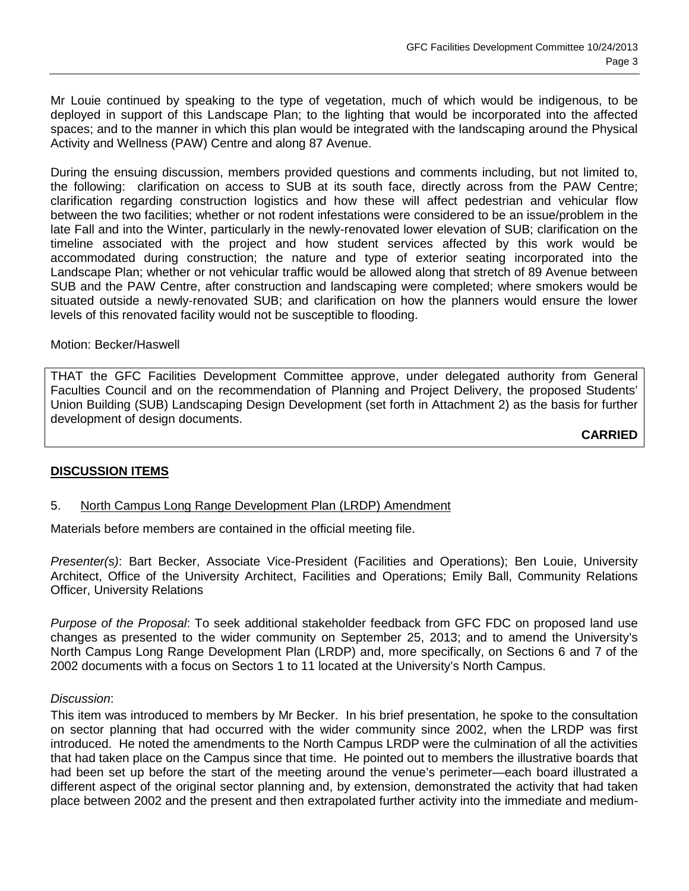Mr Louie continued by speaking to the type of vegetation, much of which would be indigenous, to be deployed in support of this Landscape Plan; to the lighting that would be incorporated into the affected spaces; and to the manner in which this plan would be integrated with the landscaping around the Physical Activity and Wellness (PAW) Centre and along 87 Avenue.

During the ensuing discussion, members provided questions and comments including, but not limited to, the following: clarification on access to SUB at its south face, directly across from the PAW Centre; clarification regarding construction logistics and how these will affect pedestrian and vehicular flow between the two facilities; whether or not rodent infestations were considered to be an issue/problem in the late Fall and into the Winter, particularly in the newly-renovated lower elevation of SUB; clarification on the timeline associated with the project and how student services affected by this work would be accommodated during construction; the nature and type of exterior seating incorporated into the Landscape Plan; whether or not vehicular traffic would be allowed along that stretch of 89 Avenue between SUB and the PAW Centre, after construction and landscaping were completed; where smokers would be situated outside a newly-renovated SUB; and clarification on how the planners would ensure the lower levels of this renovated facility would not be susceptible to flooding.

### Motion: Becker/Haswell

THAT the GFC Facilities Development Committee approve, under delegated authority from General Faculties Council and on the recommendation of Planning and Project Delivery, the proposed Students' Union Building (SUB) Landscaping Design Development (set forth in Attachment 2) as the basis for further development of design documents.

**CARRIED**

### **DISCUSSION ITEMS**

### 5. North Campus Long Range Development Plan (LRDP) Amendment

Materials before members are contained in the official meeting file.

*Presenter(s)*: Bart Becker, Associate Vice-President (Facilities and Operations); Ben Louie, University Architect, Office of the University Architect, Facilities and Operations; Emily Ball, Community Relations Officer, University Relations

*Purpose of the Proposal*: To seek additional stakeholder feedback from GFC FDC on proposed land use changes as presented to the wider community on September 25, 2013; and to amend the University's North Campus Long Range Development Plan (LRDP) and, more specifically, on Sections 6 and 7 of the 2002 documents with a focus on Sectors 1 to 11 located at the University's North Campus.

#### *Discussion*:

This item was introduced to members by Mr Becker. In his brief presentation, he spoke to the consultation on sector planning that had occurred with the wider community since 2002, when the LRDP was first introduced. He noted the amendments to the North Campus LRDP were the culmination of all the activities that had taken place on the Campus since that time. He pointed out to members the illustrative boards that had been set up before the start of the meeting around the venue's perimeter—each board illustrated a different aspect of the original sector planning and, by extension, demonstrated the activity that had taken place between 2002 and the present and then extrapolated further activity into the immediate and medium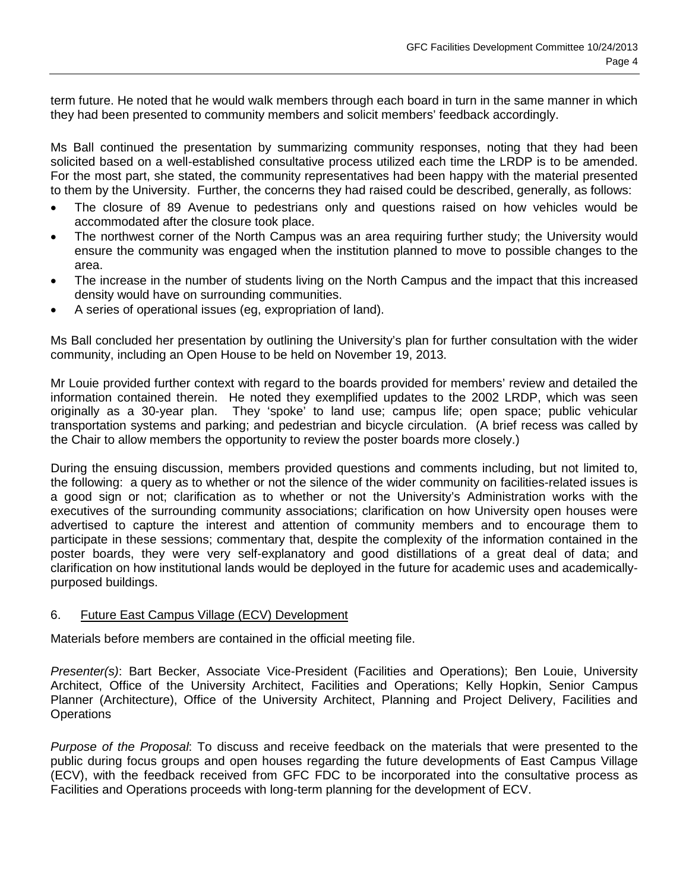term future. He noted that he would walk members through each board in turn in the same manner in which they had been presented to community members and solicit members' feedback accordingly.

Ms Ball continued the presentation by summarizing community responses, noting that they had been solicited based on a well-established consultative process utilized each time the LRDP is to be amended. For the most part, she stated, the community representatives had been happy with the material presented to them by the University. Further, the concerns they had raised could be described, generally, as follows:

- The closure of 89 Avenue to pedestrians only and questions raised on how vehicles would be accommodated after the closure took place.
- The northwest corner of the North Campus was an area requiring further study; the University would ensure the community was engaged when the institution planned to move to possible changes to the area.
- The increase in the number of students living on the North Campus and the impact that this increased density would have on surrounding communities.
- A series of operational issues (eg, expropriation of land).

Ms Ball concluded her presentation by outlining the University's plan for further consultation with the wider community, including an Open House to be held on November 19, 2013.

Mr Louie provided further context with regard to the boards provided for members' review and detailed the information contained therein. He noted they exemplified updates to the 2002 LRDP, which was seen originally as a 30-year plan. They 'spoke' to land use; campus life; open space; public vehicular transportation systems and parking; and pedestrian and bicycle circulation. (A brief recess was called by the Chair to allow members the opportunity to review the poster boards more closely.)

During the ensuing discussion, members provided questions and comments including, but not limited to, the following: a query as to whether or not the silence of the wider community on facilities-related issues is a good sign or not; clarification as to whether or not the University's Administration works with the executives of the surrounding community associations; clarification on how University open houses were advertised to capture the interest and attention of community members and to encourage them to participate in these sessions; commentary that, despite the complexity of the information contained in the poster boards, they were very self-explanatory and good distillations of a great deal of data; and clarification on how institutional lands would be deployed in the future for academic uses and academicallypurposed buildings.

### 6. Future East Campus Village (ECV) Development

Materials before members are contained in the official meeting file.

*Presenter(s)*: Bart Becker, Associate Vice-President (Facilities and Operations); Ben Louie, University Architect, Office of the University Architect, Facilities and Operations; Kelly Hopkin, Senior Campus Planner (Architecture), Office of the University Architect, Planning and Project Delivery, Facilities and **Operations** 

*Purpose of the Proposal*: To discuss and receive feedback on the materials that were presented to the public during focus groups and open houses regarding the future developments of East Campus Village (ECV), with the feedback received from GFC FDC to be incorporated into the consultative process as Facilities and Operations proceeds with long-term planning for the development of ECV.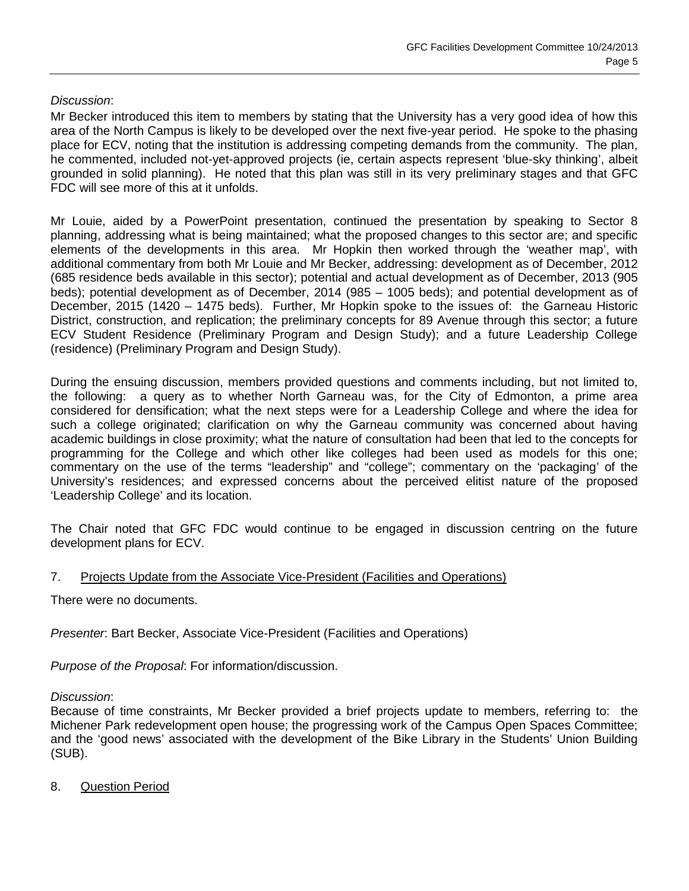## *Discussion*:

Mr Becker introduced this item to members by stating that the University has a very good idea of how this area of the North Campus is likely to be developed over the next five-year period. He spoke to the phasing place for ECV, noting that the institution is addressing competing demands from the community. The plan, he commented, included not-yet-approved projects (ie, certain aspects represent 'blue-sky thinking', albeit grounded in solid planning). He noted that this plan was still in its very preliminary stages and that GFC FDC will see more of this at it unfolds.

Mr Louie, aided by a PowerPoint presentation, continued the presentation by speaking to Sector 8 planning, addressing what is being maintained; what the proposed changes to this sector are; and specific elements of the developments in this area. Mr Hopkin then worked through the 'weather map', with additional commentary from both Mr Louie and Mr Becker, addressing: development as of December, 2012 (685 residence beds available in this sector); potential and actual development as of December, 2013 (905 beds); potential development as of December, 2014 (985 – 1005 beds); and potential development as of December, 2015 (1420 – 1475 beds). Further, Mr Hopkin spoke to the issues of: the Garneau Historic District, construction, and replication; the preliminary concepts for 89 Avenue through this sector; a future ECV Student Residence (Preliminary Program and Design Study); and a future Leadership College (residence) (Preliminary Program and Design Study).

During the ensuing discussion, members provided questions and comments including, but not limited to, the following: a query as to whether North Garneau was, for the City of Edmonton, a prime area considered for densification; what the next steps were for a Leadership College and where the idea for such a college originated; clarification on why the Garneau community was concerned about having academic buildings in close proximity; what the nature of consultation had been that led to the concepts for programming for the College and which other like colleges had been used as models for this one; commentary on the use of the terms "leadership" and "college"; commentary on the 'packaging' of the University's residences; and expressed concerns about the perceived elitist nature of the proposed 'Leadership College' and its location.

The Chair noted that GFC FDC would continue to be engaged in discussion centring on the future development plans for ECV.

### 7. Projects Update from the Associate Vice-President (Facilities and Operations)

There were no documents.

*Presenter*: Bart Becker, Associate Vice-President (Facilities and Operations)

*Purpose of the Proposal*: For information/discussion.

### *Discussion*:

Because of time constraints, Mr Becker provided a brief projects update to members, referring to: the Michener Park redevelopment open house; the progressing work of the Campus Open Spaces Committee; and the 'good news' associated with the development of the Bike Library in the Students' Union Building (SUB).

8. Question Period